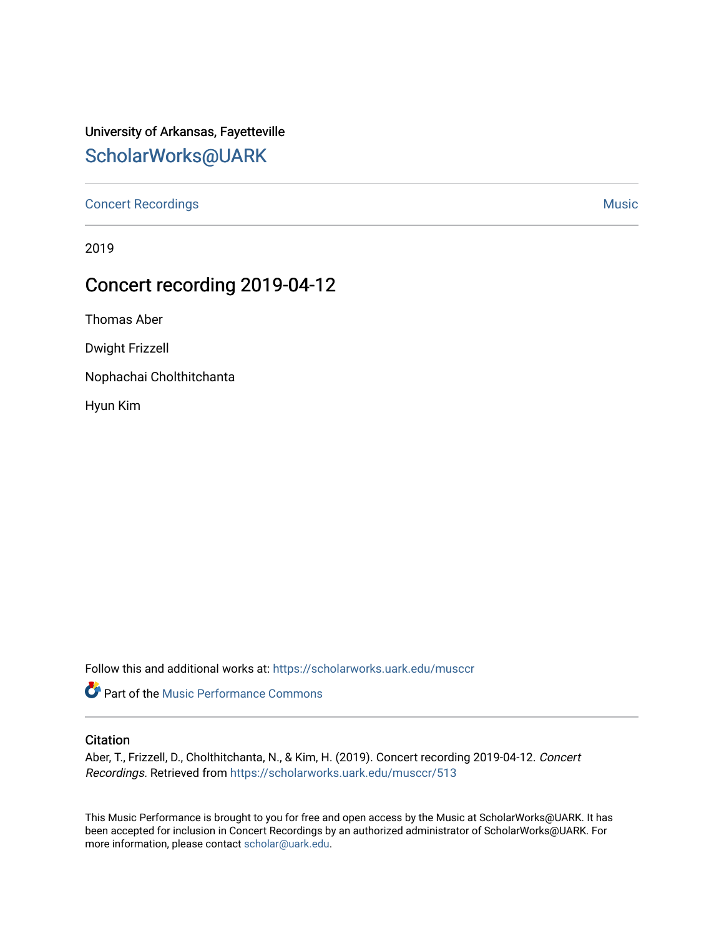# University of Arkansas, Fayetteville [ScholarWorks@UARK](https://scholarworks.uark.edu/)

[Concert Recordings](https://scholarworks.uark.edu/musccr) [Music](https://scholarworks.uark.edu/musc) Network and Security Assembly and Security Assembly Assembly Assembly Assembly Assembly

2019

# Concert recording 2019-04-12

Thomas Aber

Dwight Frizzell

Nophachai Cholthitchanta

Hyun Kim

Follow this and additional works at: [https://scholarworks.uark.edu/musccr](https://scholarworks.uark.edu/musccr?utm_source=scholarworks.uark.edu%2Fmusccr%2F513&utm_medium=PDF&utm_campaign=PDFCoverPages) 

Part of the [Music Performance Commons](http://network.bepress.com/hgg/discipline/1128?utm_source=scholarworks.uark.edu%2Fmusccr%2F513&utm_medium=PDF&utm_campaign=PDFCoverPages)

#### **Citation**

Aber, T., Frizzell, D., Cholthitchanta, N., & Kim, H. (2019). Concert recording 2019-04-12. Concert Recordings. Retrieved from [https://scholarworks.uark.edu/musccr/513](https://scholarworks.uark.edu/musccr/513?utm_source=scholarworks.uark.edu%2Fmusccr%2F513&utm_medium=PDF&utm_campaign=PDFCoverPages)

This Music Performance is brought to you for free and open access by the Music at ScholarWorks@UARK. It has been accepted for inclusion in Concert Recordings by an authorized administrator of ScholarWorks@UARK. For more information, please contact [scholar@uark.edu.](mailto:scholar@uark.edu)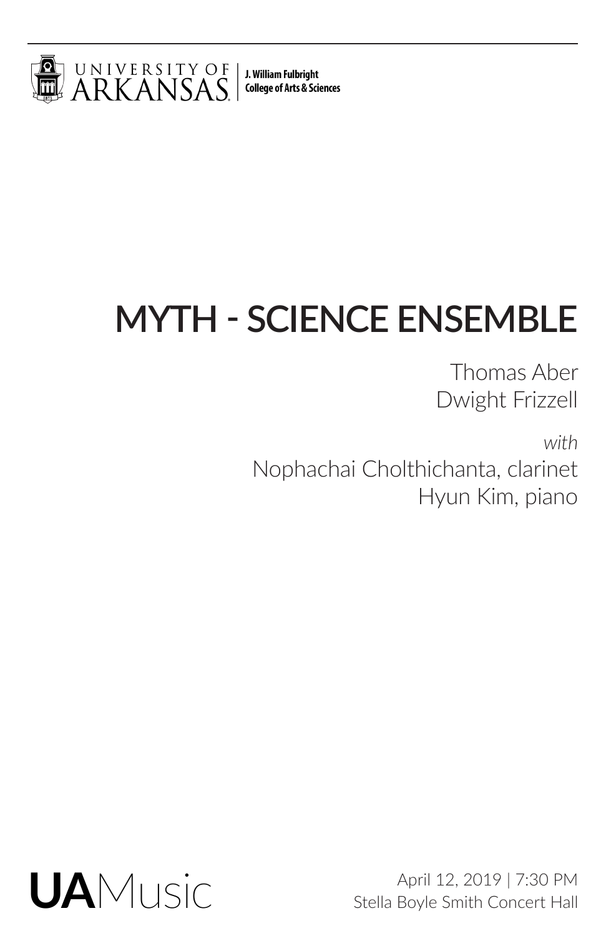

J. William Fulbright **College of Arts & Sciences** 

# **MYTH - SCIENCE ENSEMBLE**

Thomas Aber Dwight Frizzell

*with* Nophachai Cholthichanta, clarinet Hyun Kim, piano



April 12, 2019 | 7:30 PM Stella Boyle Smith Concert Hall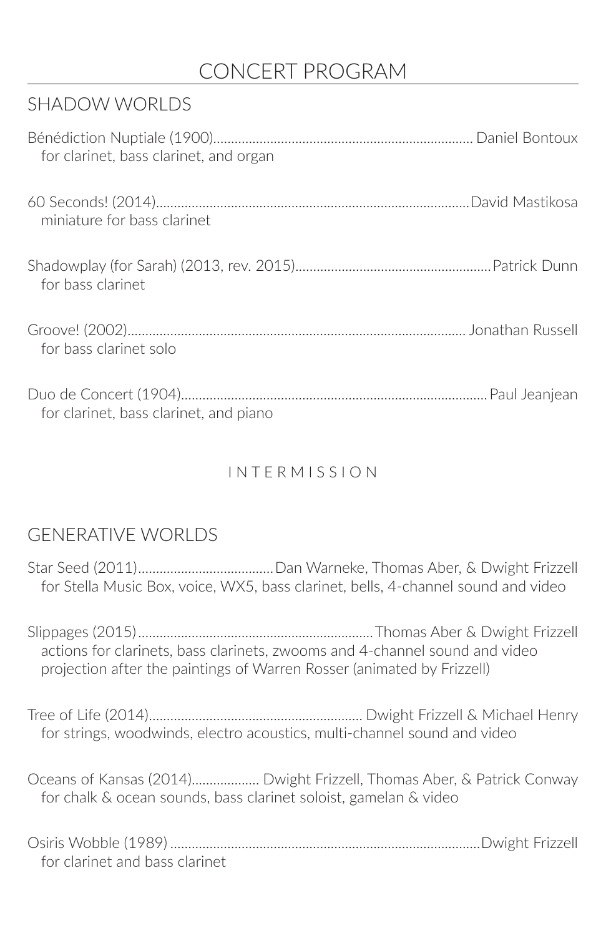## CONCERT PROGRAM

## SHADOW WORLDS

| for clarinet, bass clarinet, and organ |  |
|----------------------------------------|--|
| miniature for bass clarinet            |  |
| for bass clarinet                      |  |
| for bass clarinet solo                 |  |
| for clarinet, bass clarinet, and piano |  |

## I N T E R M I S S I O N

## GENERATIVE WORLDS

Star Seed (2011)......................................Dan Warneke, Thomas Aber, & Dwight Frizzell for Stella Music Box, voice, WX5, bass clarinet, bells, 4‐channel sound and video

Slippages (2015)..................................................................Thomas Aber & Dwight Frizzell actions for clarinets, bass clarinets, zwooms and 4‐channel sound and video projection after the paintings of Warren Rosser (animated by Frizzell)

Tree of Life (2014)............................................................ Dwight Frizzell & Michael Henry for strings, woodwinds, electro acoustics, multi-channel sound and video

Oceans of Kansas (2014)................... Dwight Frizzell, Thomas Aber, & Patrick Conway for chalk & ocean sounds, bass clarinet soloist, gamelan & video

| for clarinet and bass clarinet |  |
|--------------------------------|--|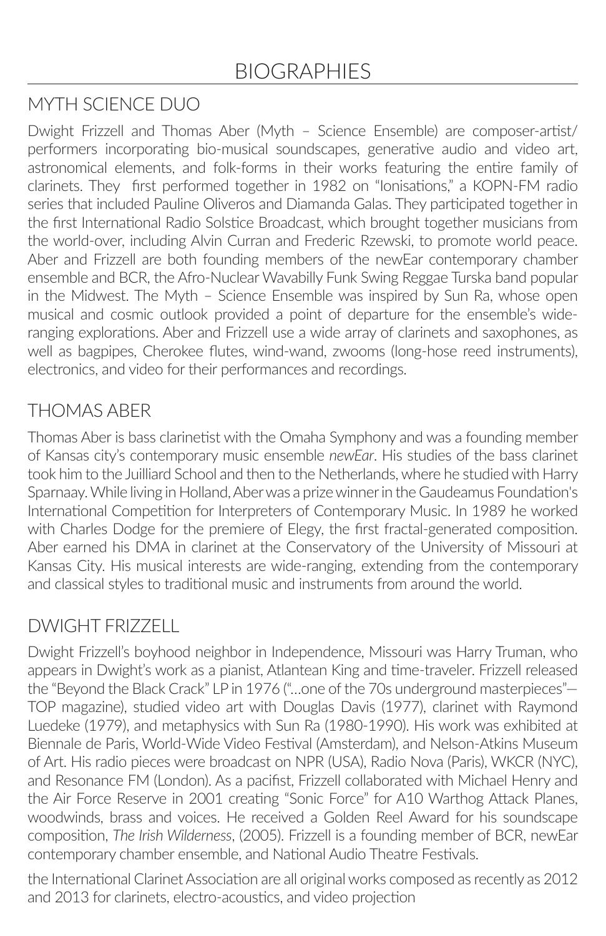## MYTH SCIENCE DUO

Dwight Frizzell and Thomas Aber (Myth – Science Ensemble) are composer-artist/ performers incorporating bio-musical soundscapes, generative audio and video art, astronomical elements, and folk-forms in their works featuring the entire family of clarinets. They first performed together in 1982 on "Ionisations," a KOPN-FM radio series that included Pauline Oliveros and Diamanda Galas. They participated together in the first International Radio Solstice Broadcast, which brought together musicians from the world-over, including Alvin Curran and Frederic Rzewski, to promote world peace. Aber and Frizzell are both founding members of the newEar contemporary chamber ensemble and BCR, the Afro-Nuclear Wavabilly Funk Swing Reggae Turska band popular in the Midwest. The Myth – Science Ensemble was inspired by Sun Ra, whose open musical and cosmic outlook provided a point of departure for the ensemble's wideranging explorations. Aber and Frizzell use a wide array of clarinets and saxophones, as well as bagpipes, Cherokee flutes, wind-wand, zwooms (long-hose reed instruments), electronics, and video for their performances and recordings.

### THOMAS ABER

Thomas Aber is bass clarinetist with the Omaha Symphony and was a founding member of Kansas city's contemporary music ensemble *newEar*. His studies of the bass clarinet took him to the Juilliard School and then to the Netherlands, where he studied with Harry Sparnaay. While living in Holland, Aber was a prize winner in the Gaudeamus Foundation's International Competition for Interpreters of Contemporary Music. In 1989 he worked with Charles Dodge for the premiere of Elegy, the first fractal-generated composition. Aber earned his DMA in clarinet at the Conservatory of the University of Missouri at Kansas City. His musical interests are wide-ranging, extending from the contemporary and classical styles to traditional music and instruments from around the world.

## DWIGHT FRIZZELL

Dwight Frizzell's boyhood neighbor in Independence, Missouri was Harry Truman, who appears in Dwight's work as a pianist, Atlantean King and time-traveler. Frizzell released the "Beyond the Black Crack" LP in 1976 ("…one of the 70s underground masterpieces"— TOP magazine), studied video art with Douglas Davis (1977), clarinet with Raymond Luedeke (1979), and metaphysics with Sun Ra (1980-1990). His work was exhibited at Biennale de Paris, World-Wide Video Festival (Amsterdam), and Nelson-Atkins Museum of Art. His radio pieces were broadcast on NPR (USA), Radio Nova (Paris), WKCR (NYC), and Resonance FM (London). As a pacifist, Frizzell collaborated with Michael Henry and the Air Force Reserve in 2001 creating "Sonic Force" for A10 Warthog Attack Planes, woodwinds, brass and voices. He received a Golden Reel Award for his soundscape composition, *The Irish Wilderness*, (2005). Frizzell is a founding member of BCR, newEar contemporary chamber ensemble, and National Audio Theatre Festivals.

the International Clarinet Association are all original works composed as recently as 2012 and 2013 for clarinets, electro-acoustics, and video projection